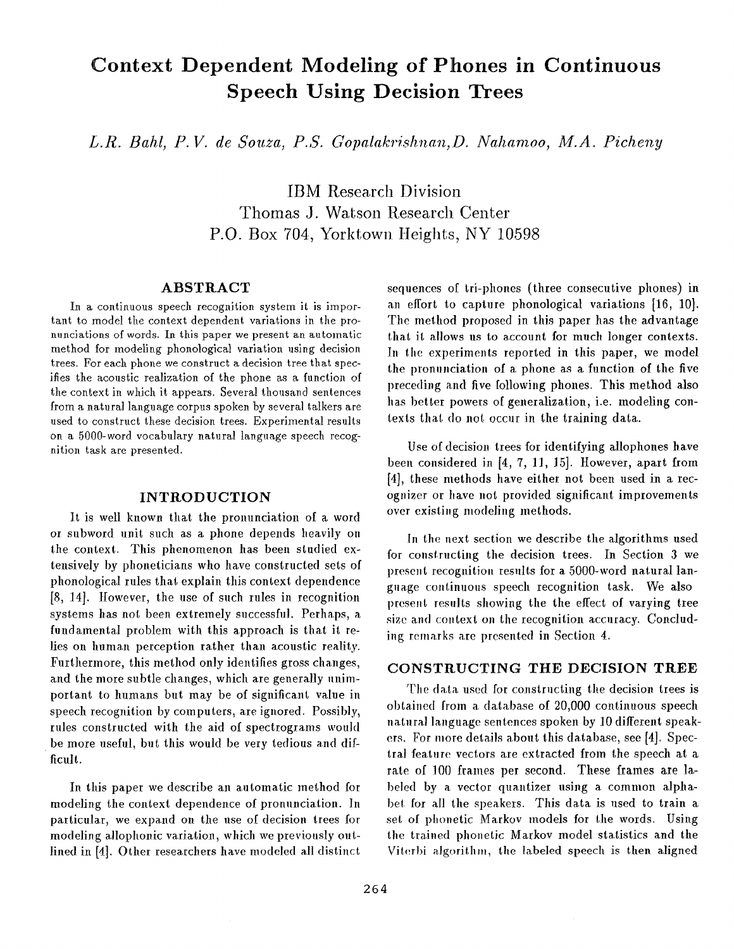# **Context Dependent Modeling of Phones in Continuous Speech Using Decision Trees**

*L.R. Bahl, P.V. de Souza, P.S. Gopalakrishnan,D. Nahamoo, M.A. Picheny* 

IBM Research Division Thomas J. Watson Research Center P.O. Box 704, Yorktown Heights, NY 10598

## **ABSTRACT**

In a continuous speech recognition system it is important to model the context dependent variations in the pronunciations of words. In this paper we present an automatic method for modeling phonological variation using decision trees. For each phone we construct a decision tree that specifies the acoustic realization of the phone as a function of the context in which it appears. Several thousand sentences from a natural language corpus spoken by several talkers are used to construct these decision trees. Experimental results on a 5000-word vocabulary natural language speech recognition task are presented.

## **INTRODUCTION**

It is well known that the pronunciation of a word or subword unit such as a phone depends heavily on the context. This phenomenon has been studied extensively by phoneticians who have constructed sets of phonological rules that explain this context dependence [8, 14]. However, the use of such rules in recognition systems has not been extremely successful. Perhaps, a fundamental problem with this approach is that it relies on human perception rather than acoustic reality. Furthermore, this method only identifies gross changes, and the more subtle changes, which are generally unimportant to humans but may be of significant value in speech recognition by computers, are ignored. Possibly, rules constructed with the aid of spectrograms would be more useful, but this would be very tedious and difficult.

In this paper we describe an automatic method for modeling the context dependence of pronunciation. ]n particular, we expand on the use of decision trees for modeling allophonic variation, which we previously outlined in [4]. Other researchers have modeled all distinct sequences of tri-phones (three consecutive phones) in an effort to capture phonological variations [16, 10]. The method proposed in this paper has the advantage that it allows us to account for much longer contexts. In the experiments reported in this paper, we model the pronunciation of a phone as a function of the five preceding and five [ollowing phones. This method also has better powers of generalization, i.e. modeling contexts that do not occur in the training data.

Use of decision trees for identifying allophones have been considered in [4, 7, 1], ]5]. However, apart from [4], these methods have either not been used in a recognizer or have not provided significant improvements over existing modeling methods.

In the next section we describe the algorithms used for constructing the decision trees. In Section 3 we present recognition results for a 5000-word natural language continuous speech recognition task. We also present results showing the the effect of varying tree size and context on the recognition accuracy. Concluding remarks are presented in Section 4.

## **CONSTRUCTING THE DECISION TREE**

The data used for constructing the decision trees is obtained from a database of 20,000 continuous speech natural language sentences spoken by 10 different speakers. For more details about this database, see [4]. Spectral feature vectors are extracted from the speech at a rate of 100 frames per second. These frames are labeled by a vector quantizer using a common alphabet for all the speakers. This data is used to train a set of phonetic Markov models for the words. Using the trained phonetic Markov model statistics and the Viterbi algorithm, the labeled speech is then aligned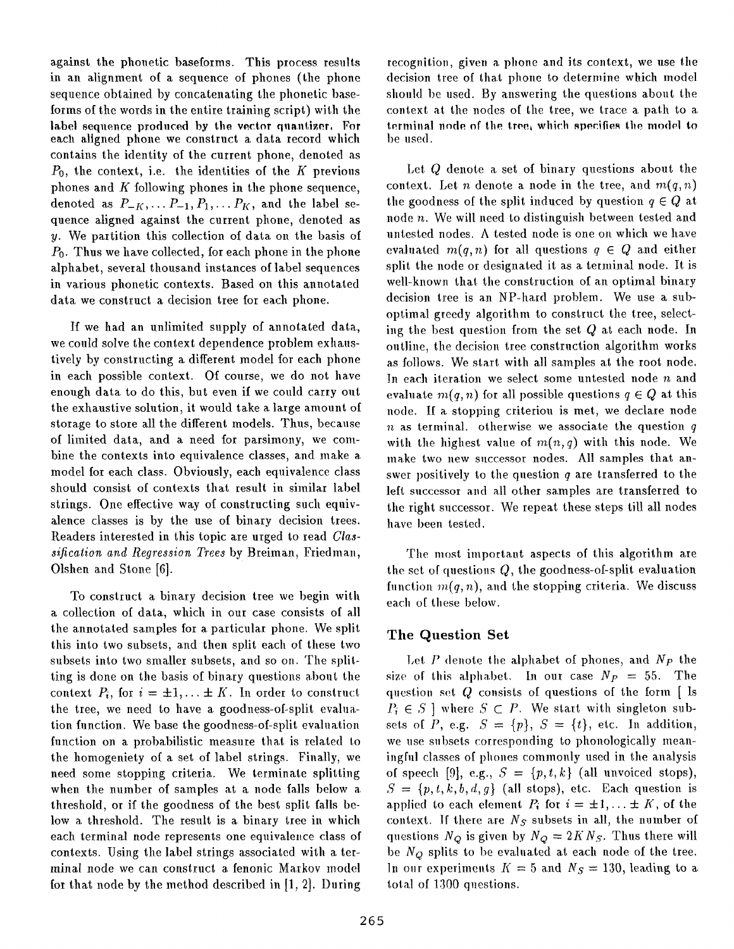against the phonetic baseforms. This process results in an alignment of a sequence of phones (the phone sequence obtained by concatenating the phonetic baseforms of the words in the entire training script) with the label sequence produced by the vector quantizer. For each aligned phone we construct a data record which contains the identity of the current phone, denoted as  $P_0$ , the context, i.e. the identities of the K previous phones and *K* following phones in the phone sequence, denoted as  $P_{-K}$ , ...  $P_{-1}$ ,  $P_1$ , ...  $P_K$ , and the label sequence aligned against the current phone, denoted as y. We partition this collection of data on the basis of  $P_0$ . Thus we have collected, for each phone in the phone alphabet, several thousand instances of label sequences in various phonetic contexts. Based on this annotated data we construct a decision tree for each phone.

If we had an unlimited supply of annotated data, we could solve the context dependence problem exhaustively by constructing a different model for each phone in each possible context. Of course, we do not have enough data. to do this, but even if we could carry out the exhaustive solution, it would take a large amount of storage to store all the different models. Thus, because of limited data, and a need for parsimony, we combine the contexts into equivalence classes, and make a model for each class. Obviously, each equivalence class should consist of contexts that result in similar label strings. One effective way of constructing such equivalence classes is by the use of binary decision trees. Readers interested in this topic are urged to read *Classification and Regression Trees* by Breiman, Friedman, Olshen and Stone [6].

To construct a binary decision tree we begin with a collection of data, which in out case consists of all the annotated samples for a particular phone. We split this into two subsets, and then split each of these two subsets into two smaller subsets, and so on. The splitting is done on the basis of binary questions about the context  $P_i$ , for  $i = \pm 1, \ldots \pm K$ . In order to construct the tree, we need to have a goodness-of-split evaluation function. We base the goodness-of-split evaluation function on a, probabilistic measure that is related to the homogeniety of a set of label strings. Finally, we need some stopping criteria. We terminate splitting when the number of samples at a node falls below a threshold, or if the goodness of the best split falls below a threshold. The result is a binary tree in which each terminal node represents one equivalence class of contexts. Using the label strings associated with a terminal node we can construct a fenonic Marker model for that node by the method described in  $[1, 2]$ . During

recognition, given a phone and its context, we use the decision tree o{ that phone to determine which model should be used. By answering the questions about the context at the nodes of the tree, we trace a path to a. terminal node of the tree, which specifies the model to I)e used.

Let Q denote a set of binary questions about the context. Let *n* denote a node in the tree, and  $m(q, n)$ the goodness of the split induced by question  $q \in Q$  at node n. We will need to distinguish between tested and untested nodes. A tested node is one on which we have evaluated  $m(q, n)$  for all questions  $q \in Q$  and either split the node or designated it as a terminal node. It is well-known that the construction of an optimal binary decision tree is an NP-hard problem. We use a suboptimal greedy algorithm to construct the tree, selecting the best question from the set Q at each node. In outline, the decision tree construction algorithm works as follows. We start with all samples at the toot node. In each iteration we select some untested node  $n$  and evaluate  $m(q, n)$  for all possible questions  $q \in Q$  at this node. If a stopping criterion is met, we declare node  $n$  as terminal, otherwise we associate the question  $q$ with the highest value of  $m(n,q)$  with this node. We make two new successor nodes. All samples that answer positively to the question  $q$  are transferred to the left successor and all other samples are transferred to the right successor. We repeat these steps till all nodes have been tested.

The most important aspects of this algorithm are the set of questions  $Q$ , the goodness-of-split evaluation function  $m(q, n)$ , and the stopping criteria. We discuss each of these below.

# **The Question Set**

Let P denote the aiphal)et of phones, and *Np* the size of this alphabet. In our case  $N_p = 55$ . The question set  $Q$  consists of questions of the form [ Is  $P_i \in S$  ] where  $S \subset P$ . We start with singleton subsets of P, e.g.  $S = \{p\}$ ,  $S = \{t\}$ , etc. In addition, we use subsets corresponding to phonologically meaningful classes of phones commonly used in the analysis of speech [9], e.g.,  $S = \{p, t, k\}$  (all unvoiced stops),  $S = \{p, t, k, b, d, g\}$  (all stops), etc. Each question is applied to each element  $P_i$  for  $i = \pm 1, \ldots \pm K$ , of the context. If there are  $N<sub>S</sub>$  subsets in all, the number of questions  $N_Q$  is given by  $N_Q = 2KN_S$ . Thus there will be *NQ* splits to be evaluated at each node of the tree. In our experiments  $K = 5$  and  $N_S = 130$ , leading to a. total of 1300 questions.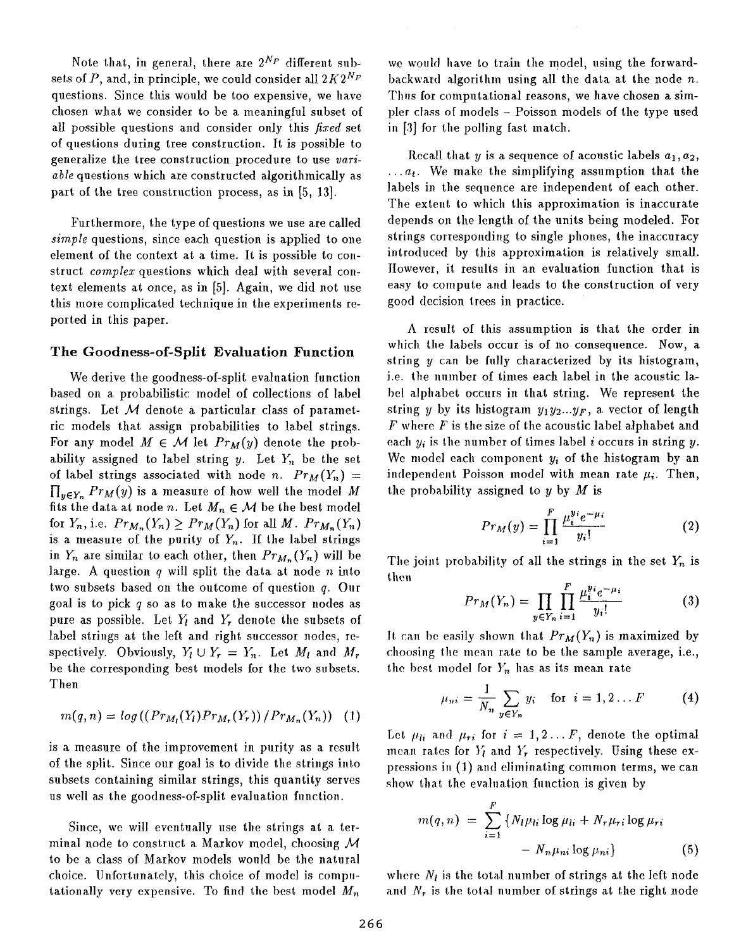Note that, in general, there are  $2^{N_P}$  different subsets of P, and, in principle, we could consider all  $2K2^{N_p}$ questions. Since this would be too expensive, we have chosen what we consider to be a meaningful subset of all possible questions and consider only this *fixed* set of questions during tree construction. It is possible to generalize the tree construction procedure to use *variable* questions which are constructed algorithmically as part of the tree construction process, as in [5, 13].

Furthermore, the type of questions we use are called *simple* questions, since each question is applied to one element of the context at a time. It is possible to construct *complex* questions which deal with several context elements at once, as in [5]. Again, we did not use this more complicated technique in the experiments reported in this paper.

#### **The** Goodness-of-Split Evaluation Function

We derive the goodness-of-split evaluation function based on a probabilistic model of collections of label strings. Let  $M$  denote a particular class of parametric models that assign probabilities to label strings. For any model  $M \in \mathcal{M}$  let  $Pr_M(y)$  denote the probability assigned to label string y. Let  $Y_n$  be the set of label strings associated with node n.  $Pr_M(Y_n) =$  $\prod_{y \in Y_n} Pr_M(y)$  is a measure of how well the model M fits the data at node n. Let  $M_n \in \mathcal{M}$  be the best model for  $Y_n$ , i.e.  $Pr_{M_n}(Y_n) \geq Pr_M(Y_n)$  for all M.  $Pr_{M_n}(Y_n)$ is a measure of the purity of  $Y_n$ . If the label strings in  $Y_n$  are similar to each other, then  $Pr_{M_n}(Y_n)$  will be large. A question  $q$  will split the data at node  $n$  into two subsets based on the outcome of question q. Our goal is to pick q so as to make the successor nodes as pure as possible. Let  $Y_l$  and  $Y_r$  denote the subsets of label strings at the left and right successor nodes, respectively. Obviously,  $Y_l \cup Y_r = Y_n$ . Let  $M_l$  and  $M_r$ be the corresponding best models for the two subsets. ]'hen

$$
m(q, n) = \log ((Pr_{M_1}(Y_l) Pr_{M_1}(Y_r)) / Pr_{M_n}(Y_n)) \quad (1)
$$

is a measure of the improvement in purity as a result of the split. Since our goal is to divide the strings into subsets containing similar strings, this quantity serves us well as the goodness-of-split evaluation function.

Since, we will eventually use the strings at a terminal node to construct a Markov model, choosing  $\mathcal M$ to be a class of Markov models would be the natural choice. Unfortunately, this choice of model is compntationally very expensive. To find the best model  $M_n$ 

we would have to train the model, using the forwardbackward algorithm using all the data at the node n. Thus for computational reasons, we have chosen a simpler class of models - Poisson models of the type used in  $[3]$  for the polling fast match.

Recall that y is a sequence of acoustic labels  $a_1, a_2$ , *... at.* We make the simplifying assumption that the labels in the sequence are independent of each other. The extent to which this approximation is inaccurate depends on the length of the units being modeled. For strings corresponding to single phones, the inaccuracy introduced by this approximation is relatively small. However, it results in an evaluation function that is easy to compute and leads to the construction of very good decision trees in practice.

A result of this assumption is that the order in which the labels occur is of no consequence. Now, a string  $y$  can be fully characterized by its histogram, i.e. the number of times each label in the acoustic label alphabet occurs in that string. We represent the string y by its histogram *YlY>..YF,* a. vector of length F where F is the size of the acoustic label alphabet and each  $y_i$  is the number of times label i occurs in string  $y$ . We model each component *Yi* of the histogram by an independent Poisson model with mean rate  $\mu_i$ . Then, the probability assigned to  $y$  by  $M$  is

$$
Pr_M(y) = \prod_{i=1}^{F} \frac{\mu_i^{y_i} e^{-\mu_i}}{y_i!}
$$
 (2)

The joint probability of all the strings in the set  $Y_n$  is then

$$
Pr_M(Y_n) = \prod_{y \in Y_n} \prod_{i=1}^F \frac{\mu_i^{y_i} e^{-\mu_i}}{y_i!}
$$
 (3)

It can be easily shown that  $Pr_M(Y_n)$  is maximized by choosing the mean rate to be the sample average, i.e., the best model for  $Y_n$  has as its mean rate

$$
\mu_{ni} = \frac{1}{N_n} \sum_{y \in Y_n} y_i \quad \text{for} \quad i = 1, 2 \dots F \tag{4}
$$

Let  $\mu_{li}$  and  $\mu_{ri}$  for  $i = 1,2...F$ , denote the optimal mean rates for  $Y_t$  and  $Y_r$  respectively. Using these expressions in (1) and eliminating common terms, we can show that the evaluation function is given by

$$
m(q, n) = \sum_{i=1}^{F} \{N_l \mu_{li} \log \mu_{li} + N_r \mu_{ri} \log \mu_{ri} - N_n \mu_{ni} \log \mu_{ni}\}
$$
 (5)

where  $N_l$  is the total number of strings at the left node and  $N_r$  is the total number of strings at the right node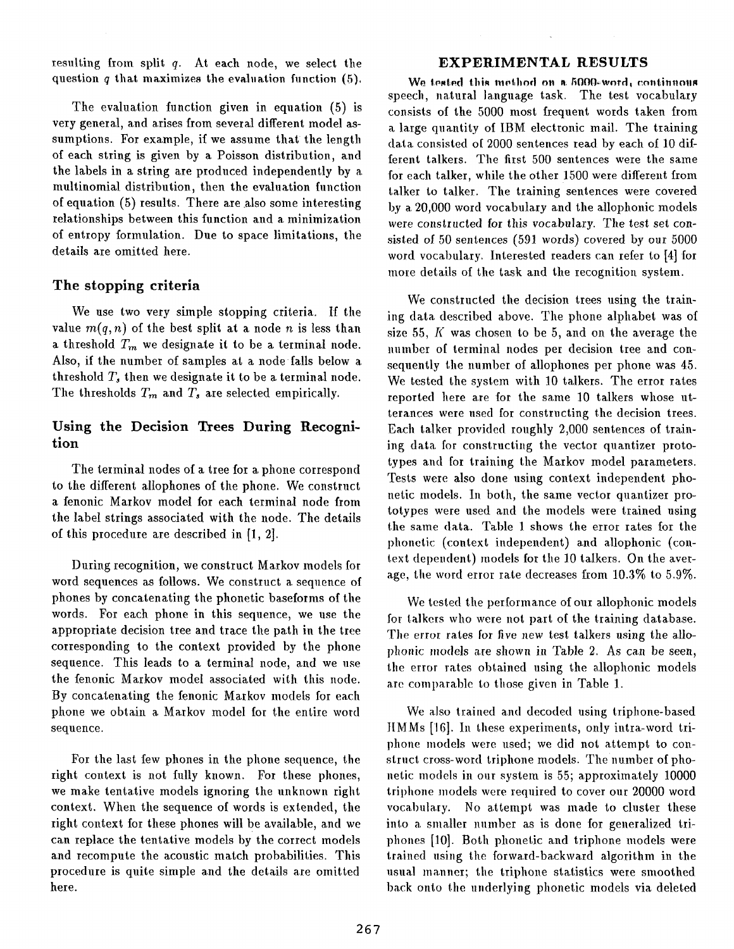resulting from split q. At each node, we select the question  $q$  that maximizes the evaluation function  $(5)$ .

The evaluation function given in equation (5) is very general, and arises from several different model assumptions. For example, if we assume that the length of each string is given by a Poisson distribution, and the labels in a string are produced independently by a multinomial distribution, then the evaluation function of equation (5) results. There are also some interesting relationships between this function and a minimization of entropy formulation. Due to space limitations, the details are omitted here.

# **The** stopping criteria

We use two very simple stopping criteria. If the value  $m(q, n)$  of the best split at a node n is less than a threshold  $T_m$  we designate it to be a terminal node. Also, if the number of samples at a node falls below a threshold  $T_s$ , then we designate it to be a terminal node. The thresholds  $T_m$  and  $T_s$  are selected empirically.

# **Using the Decision Trees During Recognition**

The terminal nodes of a tree for a phone correspond to the different allophones of the phone. We construct a fenonic Markov model for each terminal node from the label strings associated with the node. The details of this procedure are described in [1, 2].

During recognition, we construct Markov models for word sequences as follows. We construct a sequence of phones by concatenating the phonetic baseforms of the words. For each phone in this sequence, we use the appropriate decision tree and trace the path in the tree corresponding to the context provided by the phone sequence. This leads to a terminal node, and we use the fenonic Markov model associated with this node. By concatenating the fenonic Markov models for each phone we obtain a Markov model for the entire word sequence.

For the last few phones in the phone sequence, the right context is not fully known. For these phones, we make tentative models ignoring the unknown right context. When the sequence of words is extended, the right context for these phones will be available, and we can replace the tentative models by the correct models and recompute the acoustic match probabilities. This procedure is quite simple and the details are omitted here.

# **EXPERIMENTAL RESULTS**

We tested this method on a 5000-word, continuous speech, natural language task. The test vocabulary consists of the 5000 most frequent words taken from a large quantity of IBM electronic mail. The training data consisted of 2000 sentences read by each of 10 different talkers. The first 500 sentences were the same for each talker, while the other 1500 were different from talker to talker. The training sentences were covered by a 20,000 word vocabulary and the allophonic models were constructed for this vocabulary. The test set consisted of 50 sentences (591 words) covered by our 5000 word vocabulary. Interested readers can refer to [4] for more details of the task and the recognition system.

We constructed the decision trees using the training data. described above. The phone alphabet was of size 55, K was chosen to be 5, and on the average the number of terminal nodes per decision tree and consequently the number of allophones per phone was 45. We tested the system with 10 talkers. The error rates reported here are for the same 10 talkers whose utterances were used for constructing the decision trees. Each talker provided roughly 2,000 sentences of training data for constructing the vector quantizer prototypes and for training the Markov model parameters. Tests were also done using context independent phonetic models. In both, the same vector quantizer prototypes were used and the models were trained using the same data. Table l shows the error rates for the phonetic (context independent) and aUophonic (context dependent) models for the ]0 talkers. On the average, the word error rate decreases from 10.3% to 5.9%.

We tested the performance of our allophonic models for talkers who were not part of the training database. The error rates for five new test talkers using the allophonic models are shown in Table 2. As can be seen, the error rates obtained using the allophonic models are comparable to those given in Table 1.

We also trained and decoded using triphone-based HMMs [16]. In these experiments, only intra-word triphone models were used; we did not attempt to construct cross-word triphone models. The number of phonetic models in our system is 55; approximately 10000 triphone models were required to cower our 20000 word vocabulary. No attempt was made to cluster these into a smaller number as is done for generalized triphones [10]. Both phonetic and triphone models were trained using the forward-backward algorithm in the usual manner; the triphone statistics were smoothed back onto the underlying phonetic models via deleted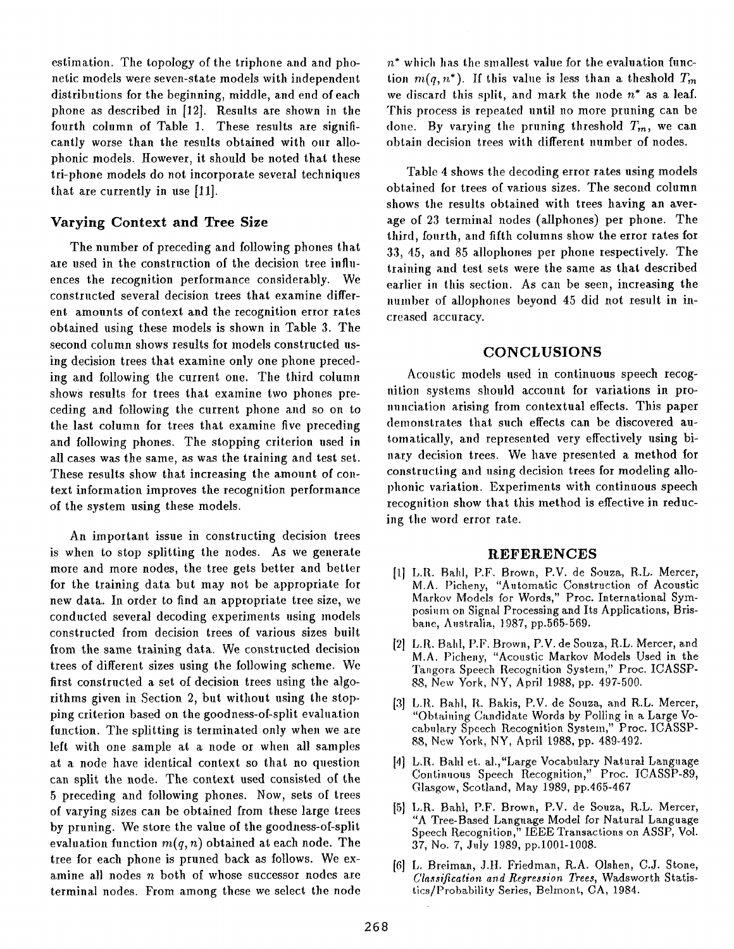estimation. The topology of the triphone and and phonetic models were seven-state models with independent distributions for the beginning, middle, and end of each phone as described in [12]. Results are shown in the fourth column of Table 1. These results are significantly worse than the results obtained with our allophonic models. However, it should be noted that these tri-phone models do not incorporate several techniques that are currently in use [11].

# **Varying Context and Tree Size**

The number of preceding and following phones that are used in the construction of the decision tree influences the recognition performance considerably. We constructed several decision trees that examine different amounts of context and the recognition error rates obtained using these models is shown in Table 3. The second column shows results for models constructed using decision trees that examine only one phone preceding and following the current one. The third column shows results for trees that examine two phones preceding and following the current phone and so on to the last column for trees that examine five preceding and following phones. The stopping criterion used in all cases was the same, as was the training and test set. These results show that increasing the amount of context information improves the recognition performance of the system using these models.

An important issue in constructing decision trees is when to stop splitting the nodes. As we generate mote and more nodes, the tree gets better and better for the training data but may not be appropriate for new data. In order to find an appropriate tree size, we conducted several decoding experiments using models constructed from decision trees of various sizes built from the same training data. We constructed decision trees of different sizes using the following scheme. We first constructed a set of decision trees using the algorithms given in Section 2, but without using the stopping criterion based on the goodness-of-split evaluation function. The splitting is terminated only when we are left with one sample at a node or when all samples at a node have identical context so that no question can split the node. The context used consisted of the 5 preceding and following phones. Now, sets of trees of varying sizes can be obtained from these large trees by pruning. We store the value of the goodness-of-split evaluation function  $m(q, n)$  obtained at each node. The tree for each phone is pruned back as follows. We examine all nodes *n* both of whose successor nodes are terminal nodes. From among these we select the node

 $n^*$  which has the smallest value for the evaluation function  $m(q, n^*)$ . If this value is less than a theshold  $T_m$ we discard this split, and mark the node  $n^*$  as a leaf. This process is repeated until no more pruning can be done. By varying the pruning threshold  $T_m$ , we can obtain decision trees with different number of nodes.

Table 4 shows the decoding error rates using models obtained for trees of various sizes. The second column shows the results obtained with trees having an average of 23 terminal nodes (allphones) per phone. The third, fourth, and fifth columns show the error rates for 33, 45, and 85 allophones per phone respectively. The training and test sets were the same as that described earlier in this section. As can be seen, increasing the number of allophones beyond 45 did not result in increased accuracy.

# CONCLUSIONS

Acoustic models used in continuous speech recognition systems should account for variations in pronunciation arising from contextual effects. This paper demonstrates that such effects can be discovered automatically, and represented very effectively using binary decision trees. We have presented a method for constructing and using decision trees for modeling allophonic variation. Experiments with continuous speech recognition show that this method is effective in reducing the word error rate.

## **REFERENCES**

- [1] L.R. Bahl, P.F. Brown, P.V. de Souza, R.L. Mercer, M.A. Pieheny, "Automatic Construction of Acoustic Markov Models for Words," Proc. International Symposium on Signal Processing and Its Applications, Brisbane, Australia, 1987, pp.565-569.
- [2] L.R. Bald, P.F. Brown, P.V. de Souza, R.L. Mercer, and M.A. Picheny, "Acoustic Markov Models Used in the Tangora Speech Recognition System," Proc. ICASSP-88, New York, NY, April 1988, pp. 497-500.
- [3] L.R. Bahl, R. Bakis, P.V. de Souza., and R.L. Mercer, "Obtaining Candidate Words by Polling in a Large Vocabulary Speech Recognition System," Proc. ICASSP-88, New York, NY, April 1988, pp. 489-492.
- [4] L.R. Bahl et. al., "Large Vocabulary Natural Language Continuous Speech Recognition," Froc. ICASSP-89, Glasgow, Scotland, May 1989, *pp.465-467*
- [5] L.R. Bahl, P.F. Brown, P.V. de Souza, R.L. Mercer, "A Tree-Based Language Model for Natural Language Speech Recognition," IEEE Transactions on ASSP, Vol. 37, No. 7, July 1989, pp.1001-1008.
- [6] L. Breiman, J.H. Friedman, R.A. Olshen, C.J. Stone, *6'lass~fication and Regression Trees,* Wadsworth Statistics/Probability Series, Belmont, CA, 1984.